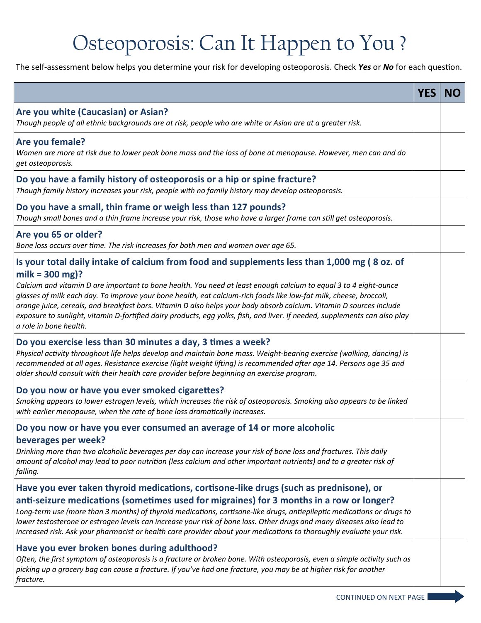## Osteoporosis: Can It Happen to You ?

The self-assessment below helps you determine your risk for developing osteoporosis. Check *Yes* or *No* for each question.

|                                                                                                                                                                                                                                                                                                                                                                                                                                                                                                                                                                                                                                            | <b>YES</b> | <b>NO</b> |
|--------------------------------------------------------------------------------------------------------------------------------------------------------------------------------------------------------------------------------------------------------------------------------------------------------------------------------------------------------------------------------------------------------------------------------------------------------------------------------------------------------------------------------------------------------------------------------------------------------------------------------------------|------------|-----------|
| Are you white (Caucasian) or Asian?<br>Though people of all ethnic backgrounds are at risk, people who are white or Asian are at a greater risk.                                                                                                                                                                                                                                                                                                                                                                                                                                                                                           |            |           |
| Are you female?<br>Women are more at risk due to lower peak bone mass and the loss of bone at menopause. However, men can and do<br>get osteoporosis.                                                                                                                                                                                                                                                                                                                                                                                                                                                                                      |            |           |
| Do you have a family history of osteoporosis or a hip or spine fracture?<br>Though family history increases your risk, people with no family history may develop osteoporosis.                                                                                                                                                                                                                                                                                                                                                                                                                                                             |            |           |
| Do you have a small, thin frame or weigh less than 127 pounds?<br>Though small bones and a thin frame increase your risk, those who have a larger frame can still get osteoporosis.                                                                                                                                                                                                                                                                                                                                                                                                                                                        |            |           |
| Are you 65 or older?<br>Bone loss occurs over time. The risk increases for both men and women over age 65.                                                                                                                                                                                                                                                                                                                                                                                                                                                                                                                                 |            |           |
| Is your total daily intake of calcium from food and supplements less than 1,000 mg (8 oz. of<br>milk = $300$ mg)?<br>Calcium and vitamin D are important to bone health. You need at least enough calcium to equal 3 to 4 eight-ounce<br>glasses of milk each day. To improve your bone health, eat calcium-rich foods like low-fat milk, cheese, broccoli,<br>orange juice, cereals, and breakfast bars. Vitamin D also helps your body absorb calcium. Vitamin D sources include<br>exposure to sunlight, vitamin D-fortified dairy products, egg yolks, fish, and liver. If needed, supplements can also play<br>a role in bone health. |            |           |
| Do you exercise less than 30 minutes a day, 3 times a week?<br>Physical activity throughout life helps develop and maintain bone mass. Weight-bearing exercise (walking, dancing) is<br>recommended at all ages. Resistance exercise (light weight lifting) is recommended after age 14. Persons age 35 and<br>older should consult with their health care provider before beginning an exercise program.                                                                                                                                                                                                                                  |            |           |
| Do you now or have you ever smoked cigarettes?<br>Smoking appears to lower estrogen levels, which increases the risk of osteoporosis. Smoking also appears to be linked<br>with earlier menopause, when the rate of bone loss dramatically increases.                                                                                                                                                                                                                                                                                                                                                                                      |            |           |
| Do you now or have you ever consumed an average of 14 or more alcoholic<br>beverages per week?<br>Drinking more than two alcoholic beverages per day can increase your risk of bone loss and fractures. This daily<br>amount of alcohol may lead to poor nutrition (less calcium and other important nutrients) and to a greater risk of<br>falling.                                                                                                                                                                                                                                                                                       |            |           |
| Have you ever taken thyroid medications, cortisone-like drugs (such as prednisone), or<br>anti-seizure medications (sometimes used for migraines) for 3 months in a row or longer?<br>Long-term use (more than 3 months) of thyroid medications, cortisone-like drugs, antiepileptic medications or drugs to<br>lower testosterone or estrogen levels can increase your risk of bone loss. Other drugs and many diseases also lead to<br>increased risk. Ask your pharmacist or health care provider about your medications to thoroughly evaluate your risk.                                                                              |            |           |
| Have you ever broken bones during adulthood?<br>Often, the first symptom of osteoporosis is a fracture or broken bone. With osteoporosis, even a simple activity such as<br>picking up a grocery bag can cause a fracture. If you've had one fracture, you may be at higher risk for another<br>fracture.                                                                                                                                                                                                                                                                                                                                  |            |           |